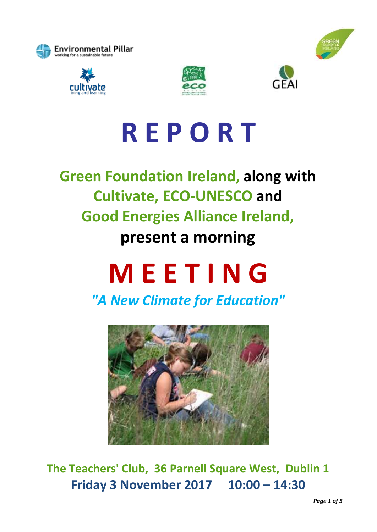







# **R E P O R T**

**Green Foundation Ireland, along with Cultivate, ECO-UNESCO and Good Energies Alliance Ireland, present a morning**

# **M E E T I N G**

*"A New Climate for Education"*



**The Teachers' Club, 36 Parnell Square West, Dublin 1 Friday 3 November 2017 10:00 – 14:30**

*Page 1 of 5*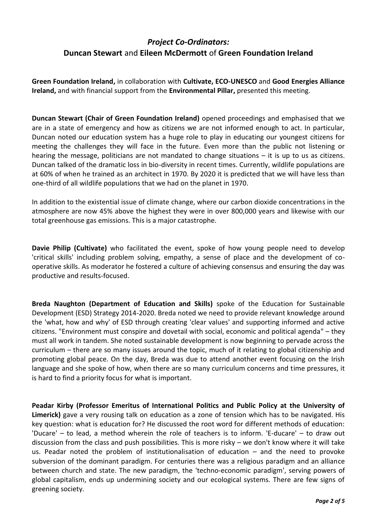## *Project Co-Ordinators:* **Duncan Stewart** and **Eileen McDermott** of **Green Foundation Ireland**

**Green Foundation Ireland,** in collaboration with **Cultivate, ECO-UNESCO** and **Good Energies Alliance Ireland,** and with financial support from the **Environmental Pillar,** presented this meeting.

**Duncan Stewart (Chair of Green Foundation Ireland)** opened proceedings and emphasised that we are in a state of emergency and how as citizens we are not informed enough to act. In particular, Duncan noted our education system has a huge role to play in educating our youngest citizens for meeting the challenges they will face in the future. Even more than the public not listening or hearing the message, politicians are not mandated to change situations – it is up to us as citizens. Duncan talked of the dramatic loss in bio-diversity in recent times. Currently, wildlife populations are at 60% of when he trained as an architect in 1970. By 2020 it is predicted that we will have less than one-third of all wildlife populations that we had on the planet in 1970.

In addition to the existential issue of climate change, where our carbon dioxide concentrations in the atmosphere are now 45% above the highest they were in over 800,000 years and likewise with our total greenhouse gas emissions. This is a major catastrophe.

**Davie Philip (Cultivate)** who facilitated the event, spoke of how young people need to develop 'critical skills' including problem solving, empathy, a sense of place and the development of cooperative skills. As moderator he fostered a culture of achieving consensus and ensuring the day was productive and results-focused.

**Breda Naughton (Department of Education and Skills)** spoke of the Education for Sustainable Development (ESD) Strategy 2014-2020. Breda noted we need to provide relevant knowledge around the 'what, how and why' of ESD through creating 'clear values' and supporting informed and active citizens. "Environment must conspire and dovetail with social, economic and political agenda" – they must all work in tandem. She noted sustainable development is now beginning to pervade across the curriculum – there are so many issues around the topic, much of it relating to global citizenship and promoting global peace. On the day, Breda was due to attend another event focusing on the Irish language and she spoke of how, when there are so many curriculum concerns and time pressures, it is hard to find a priority focus for what is important.

**Peadar Kirby (Professor Emeritus of International Politics and Public Policy at the University of Limerick)** gave a very rousing talk on education as a zone of tension which has to be navigated. His key question: what is education for? He discussed the root word for different methods of education: 'Ducare' – to lead, a method wherein the role of teachers is to inform. 'E-ducare' – to draw out discussion from the class and push possibilities. This is more risky – we don't know where it will take us. Peadar noted the problem of institutionalisation of education – and the need to provoke subversion of the dominant paradigm. For centuries there was a religious paradigm and an alliance between church and state. The new paradigm, the 'techno-economic paradigm', serving powers of global capitalism, ends up undermining society and our ecological systems. There are few signs of greening society.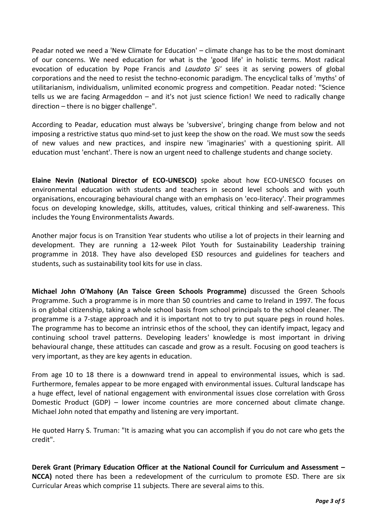Peadar noted we need a 'New Climate for Education' – climate change has to be the most dominant of our concerns. We need education for what is the 'good life' in holistic terms. Most radical evocation of education by Pope Francis and *Laudato Si'* sees it as serving powers of global corporations and the need to resist the techno-economic paradigm. The encyclical talks of 'myths' of utilitarianism, individualism, unlimited economic progress and competition. Peadar noted: "Science tells us we are facing Armageddon – and it's not just science fiction! We need to radically change direction – there is no bigger challenge".

According to Peadar, education must always be 'subversive', bringing change from below and not imposing a restrictive status quo mind-set to just keep the show on the road. We must sow the seeds of new values and new practices, and inspire new 'imaginaries' with a questioning spirit. All education must 'enchant'. There is now an urgent need to challenge students and change society.

**Elaine Nevin (National Director of ECO-UNESCO)** spoke about how ECO-UNESCO focuses on environmental education with students and teachers in second level schools and with youth organisations, encouraging behavioural change with an emphasis on 'eco-literacy'. Their programmes focus on developing knowledge, skills, attitudes, values, critical thinking and self-awareness. This includes the Young Environmentalists Awards.

Another major focus is on Transition Year students who utilise a lot of projects in their learning and development. They are running a 12-week Pilot Youth for Sustainability Leadership training programme in 2018. They have also developed ESD resources and guidelines for teachers and students, such as sustainability tool kits for use in class.

**Michael John O'Mahony (An Taisce Green Schools Programme)** discussed the Green Schools Programme. Such a programme is in more than 50 countries and came to Ireland in 1997. The focus is on global citizenship, taking a whole school basis from school principals to the school cleaner. The programme is a 7-stage approach and it is important not to try to put square pegs in round holes. The programme has to become an intrinsic ethos of the school, they can identify impact, legacy and continuing school travel patterns. Developing leaders' knowledge is most important in driving behavioural change, these attitudes can cascade and grow as a result. Focusing on good teachers is very important, as they are key agents in education.

From age 10 to 18 there is a downward trend in appeal to environmental issues, which is sad. Furthermore, females appear to be more engaged with environmental issues. Cultural landscape has a huge effect, level of national engagement with environmental issues close correlation with Gross Domestic Product (GDP) – lower income countries are more concerned about climate change. Michael John noted that empathy and listening are very important.

He quoted Harry S. Truman: "It is amazing what you can accomplish if you do not care who gets the credit".

**Derek Grant (Primary Education Officer at the National Council for Curriculum and Assessment – NCCA)** noted there has been a redevelopment of the curriculum to promote ESD. There are six Curricular Areas which comprise 11 subjects. There are several aims to this.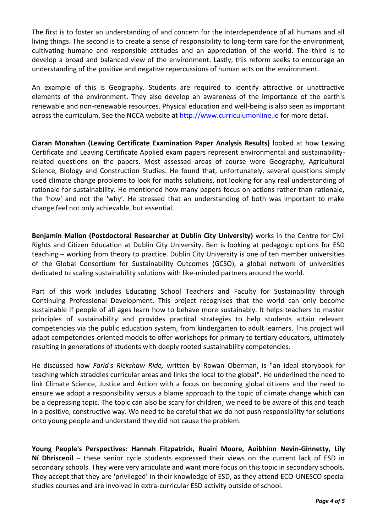The first is to foster an understanding of and concern for the interdependence of all humans and all living things. The second is to create a sense of responsibility to long-term care for the environment, cultivating humane and responsible attitudes and an appreciation of the world. The third is to develop a broad and balanced view of the environment. Lastly, this reform seeks to encourage an understanding of the positive and negative repercussions of human acts on the environment.

An example of this is Geography. Students are required to identify attractive or unattractive elements of the environment. They also develop an awareness of the importance of the earth's renewable and non-renewable resources. Physical education and well-being is also seen as important across the curriculum. See the NCCA website at [http://www.curriculumonline.ie](http://www.curriculumonline.ie/) for more detail.

**Ciaran Monahan (Leaving Certificate Examination Paper Analysis Results)** looked at how Leaving Certificate and Leaving Certificate Applied exam papers represent environmental and sustainabilityrelated questions on the papers. Most assessed areas of course were Geography, Agricultural Science, Biology and Construction Studies. He found that, unfortunately, several questions simply used climate change problems to look for maths solutions, not looking for any real understanding of rationale for sustainability. He mentioned how many papers focus on actions rather than rationale, the 'how' and not the 'why'. He stressed that an understanding of both was important to make change feel not only achievable, but essential.

**Benjamin Mallon (Postdoctoral Researcher at Dublin City University)** works in the Centre for Civil Rights and Citizen Education at Dublin City University. Ben is looking at pedagogic options for ESD teaching – working from theory to practice. Dublin City University is one of ten member universities of the Global Consortium for Sustainability Outcomes (GCSO), a global network of universities dedicated to scaling sustainability solutions with like-minded partners around the world.

Part of this work includes Educating School Teachers and Faculty for Sustainability through Continuing Professional Development. This project recognises that the world can only become sustainable if people of all ages learn how to behave more sustainably. It helps teachers to master principles of sustainability and provides practical strategies to help students attain relevant competencies via the public education system, from kindergarten to adult learners. This project will adapt competencies-oriented models to offer workshops for primary to tertiary educators, ultimately resulting in generations of students with deeply rooted sustainability competencies.

He discussed how *Farid's Rickshaw Ride,* written by Rowan Oberman, is "an ideal storybook for teaching which straddles curricular areas and links the local to the global". He underlined the need to link Climate Science, Justice and Action with a focus on becoming global citizens and the need to ensure we adopt a responsibility versus a blame approach to the topic of climate change which can be a depressing topic. The topic can also be scary for children; we need to be aware of this and teach in a positive, constructive way. We need to be careful that we do not push responsibility for solutions onto young people and understand they did not cause the problem.

**Young People's Perspectives: Hannah Fitzpatrick, Ruairí Moore, Aoibhínn Nevin-Ginnetty, Lily Ní Dhrisceoil** – these senior cycle students expressed their views on the current lack of ESD in secondary schools. They were very articulate and want more focus on this topic in secondary schools. They accept that they are 'privileged' in their knowledge of ESD, as they attend ECO-UNESCO special studies courses and are involved in extra-curricular ESD activity outside of school.